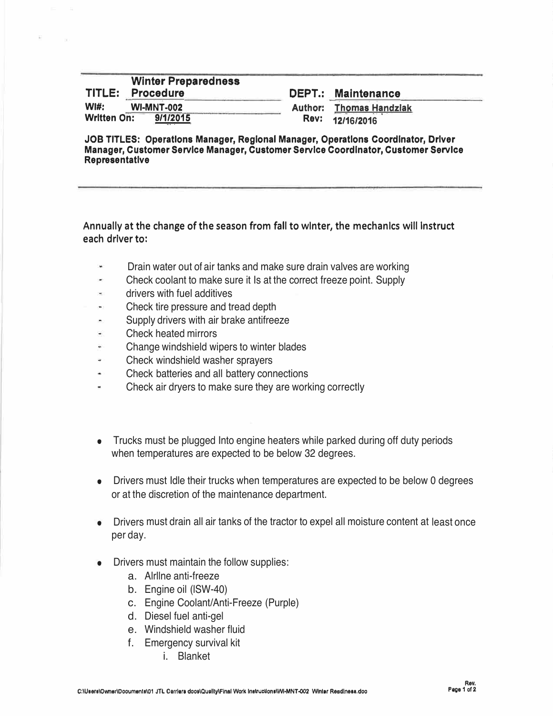## **Winter Preparedness TITLE: Procedure WI#: WI-MNT-002 Written On:**

**DEPT.: Maintenance** 

**Author: Thomas Handzlak Rev: 12/16/2016**

**JOB TITLES: Operations Manager, Regional Manager, Operations Coordinator, Driver Manager, Customer Service Manager, Customer Service Coordinator, Customer Service Representative** 

## Annually at the change of the season from fall to winter, the mechanics will Instruct each driver to:

- Drain water out of air tanks and make sure drain valves are working
- Check coolant to make sure it Is at the correct freeze point. Supply
- drivers with fuel additives u.
- Check tire pressure and tread depth w.
- Supply drivers with air brake antifreeze
- Check heated mirrors
- Change windshield wipers to winter blades W.
- Check windshield washer sprayers W.
- Check batteries and all battery connections
- u. Check air dryers to make sure they are working correctly
- Trucks must be plugged Into engine heaters while parked during off duty periods when temperatures are expected to be below 32 degrees.
- Drivers must Idle their trucks when temperatures are expected to be below 0 degrees or at the discretion of the maintenance department.
- Drivers must drain all air tanks of the tractor to expel all moisture content at least once per day.
- Drivers must maintain the follow supplies:
	- a. Alrllne anti-freeze
	- b. Engine oil (lSW-40)
	- c. Engine Coolant/Anti-Freeze (Purple)
	- d. Diesel fuel anti-gel
	- e. Windshield washer fluid
	- f. Emergency survival kit
		- i. Blanket